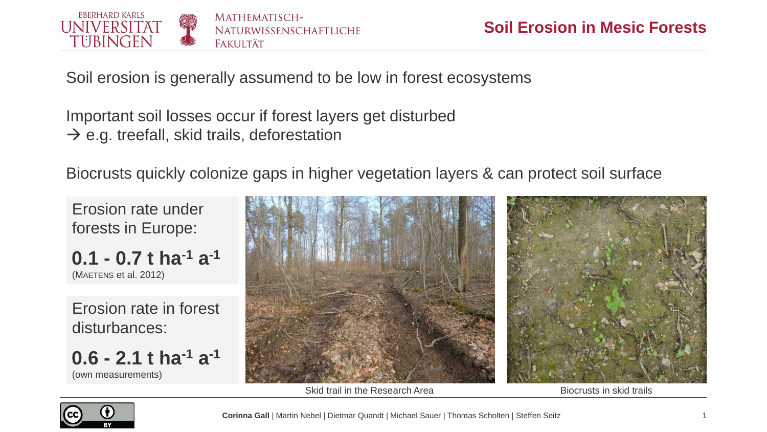

Soil erosion is generally assumend to be low in forest ecosystems

Important soil losses occur if forest layers get disturbed  $\rightarrow$  e.g. treefall, skid trails, deforestation

Biocrusts quickly colonize gaps in higher vegetation layers & can protect soil surface

Erosion rate under forests in Europe:

```
0.1 - 0.7 t ha-1 a
-1
(MAETENS et al. 2012)
```
Erosion rate in forest disturbances:

**0.6 - 2.1 t ha-1 a -1** (own measurements)



Skid trail in the Research Area **Biocrusts** in skid trails

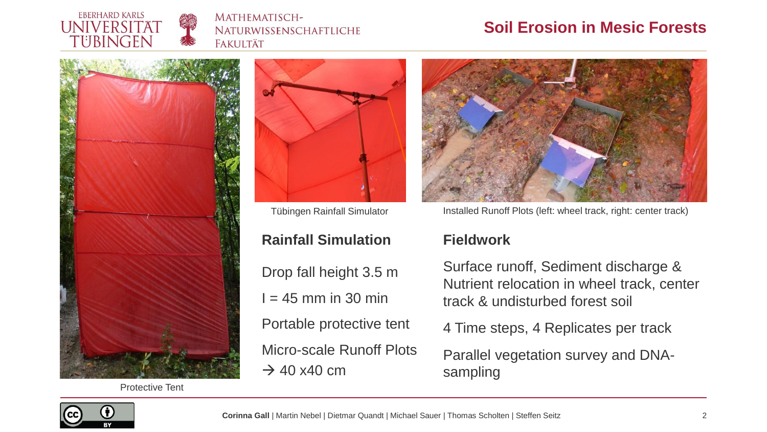

#### MATHEMATISCH-NATURWISSENSCHAFTLICHE **FAKULTÄT**

# **Soil Erosion in Mesic Forests**



Protective Tent



### **Rainfall Simulation**

Drop fall height 3.5 m

 $= 45$  mm in 30 min

Portable protective tent

Micro-scale Runoff Plots

 $\rightarrow$  40 x40 cm



Tübingen Rainfall Simulator **Installed Runoff Plots (left: wheel track, right: center track)** 

#### **Fieldwork**

Surface runoff, Sediment discharge & Nutrient relocation in wheel track, center track & undisturbed forest soil

4 Time steps, 4 Replicates per track

Parallel vegetation survey and DNAsampling